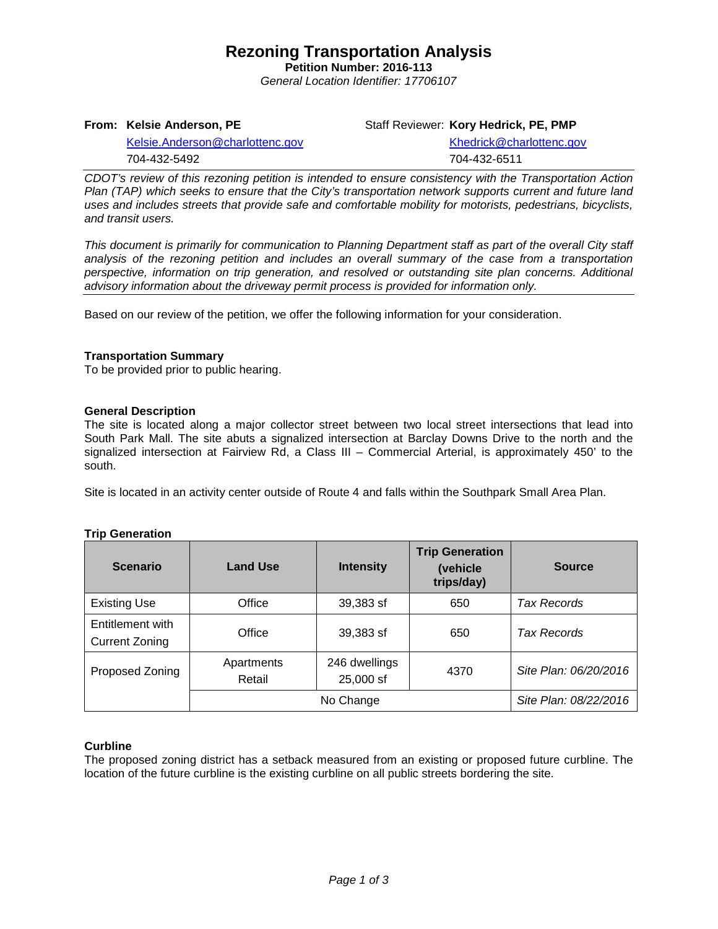# **Rezoning Transportation Analysis**

**Petition Number: 2016-113** *General Location Identifier: 17706107*

**From: Kelsie Anderson, PE**

Staff Reviewer: **Kory Hedrick, PE, PMP**

[Kelsie.Anderson@charlottenc.gov](mailto:Kelsie.Anderson@charlottenc.gov) 704-432-5492

[Khedrick@charlottenc.gov](file://CHARLOTTE/CoCDFS/County/Meck%20GIS/Development%20Services/Land_Development/Rezoning/2016/2016-110/Khedrick@charlottenc.gov) 704-432-6511

*CDOT's review of this rezoning petition is intended to ensure consistency with the Transportation Action Plan (TAP) which seeks to ensure that the City's transportation network supports current and future land uses and includes streets that provide safe and comfortable mobility for motorists, pedestrians, bicyclists, and transit users.*

*This document is primarily for communication to Planning Department staff as part of the overall City staff analysis of the rezoning petition and includes an overall summary of the case from a transportation perspective, information on trip generation, and resolved or outstanding site plan concerns. Additional advisory information about the driveway permit process is provided for information only.*

Based on our review of the petition, we offer the following information for your consideration.

## **Transportation Summary**

To be provided prior to public hearing.

## **General Description**

The site is located along a major collector street between two local street intersections that lead into South Park Mall. The site abuts a signalized intersection at Barclay Downs Drive to the north and the signalized intersection at Fairview Rd, a Class III – Commercial Arterial, is approximately 450' to the south.

Site is located in an activity center outside of Route 4 and falls within the Southpark Small Area Plan.

| <b>Scenario</b>                           | <b>Land Use</b>      | <b>Intensity</b>           | <b>Trip Generation</b><br>(vehicle<br>trips/day) | <b>Source</b>         |
|-------------------------------------------|----------------------|----------------------------|--------------------------------------------------|-----------------------|
| <b>Existing Use</b>                       | Office               | 39,383 sf                  | 650                                              | <b>Tax Records</b>    |
| Entitlement with<br><b>Current Zoning</b> | Office               | 39,383 sf                  | 650                                              | <b>Tax Records</b>    |
| Proposed Zoning                           | Apartments<br>Retail | 246 dwellings<br>25,000 sf | 4370                                             | Site Plan: 06/20/2016 |
|                                           | No Change            |                            |                                                  | Site Plan: 08/22/2016 |

## **Trip Generation**

### **Curbline**

The proposed zoning district has a setback measured from an existing or proposed future curbline. The location of the future curbline is the existing curbline on all public streets bordering the site.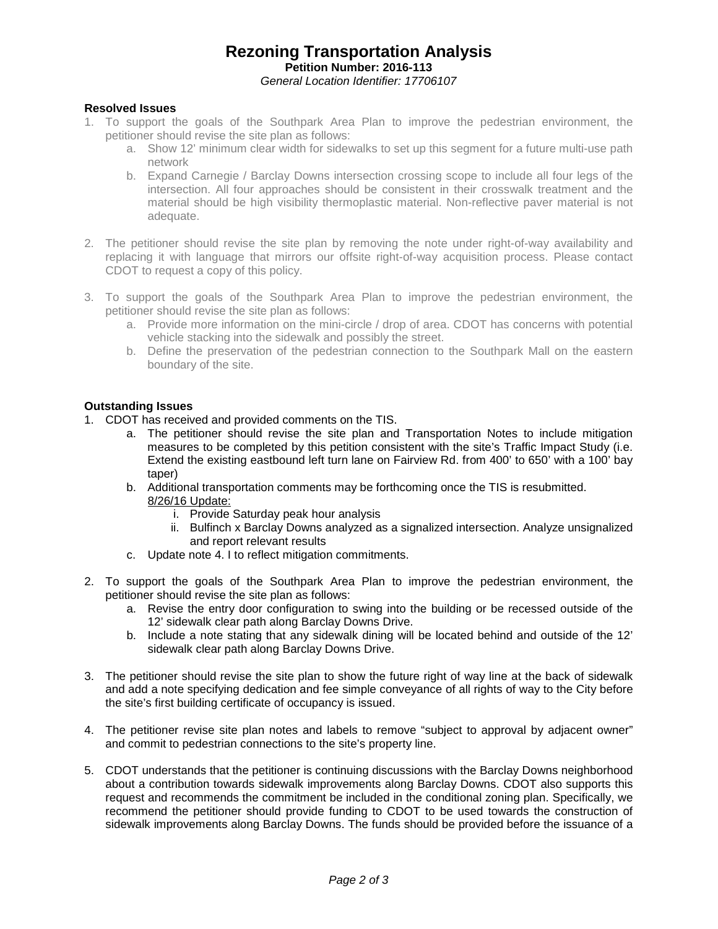# **Rezoning Transportation Analysis Petition Number: 2016-113** *General Location Identifier: 17706107*

## **Resolved Issues**

- 1. To support the goals of the Southpark Area Plan to improve the pedestrian environment, the petitioner should revise the site plan as follows:
	- a. Show 12' minimum clear width for sidewalks to set up this segment for a future multi-use path network
	- b. Expand Carnegie / Barclay Downs intersection crossing scope to include all four legs of the intersection. All four approaches should be consistent in their crosswalk treatment and the material should be high visibility thermoplastic material. Non-reflective paver material is not adequate.
- 2. The petitioner should revise the site plan by removing the note under right-of-way availability and replacing it with language that mirrors our offsite right-of-way acquisition process. Please contact CDOT to request a copy of this policy.
- 3. To support the goals of the Southpark Area Plan to improve the pedestrian environment, the petitioner should revise the site plan as follows:
	- a. Provide more information on the mini-circle / drop of area. CDOT has concerns with potential vehicle stacking into the sidewalk and possibly the street.
	- b. Define the preservation of the pedestrian connection to the Southpark Mall on the eastern boundary of the site.

### **Outstanding Issues**

- 1. CDOT has received and provided comments on the TIS.
	- a. The petitioner should revise the site plan and Transportation Notes to include mitigation measures to be completed by this petition consistent with the site's Traffic Impact Study (i.e. Extend the existing eastbound left turn lane on Fairview Rd. from 400' to 650' with a 100' bay taper)
	- b. Additional transportation comments may be forthcoming once the TIS is resubmitted. 8/26/16 Update:
		- i. Provide Saturday peak hour analysis
		- ii. Bulfinch x Barclay Downs analyzed as a signalized intersection. Analyze unsignalized and report relevant results
	- c. Update note 4. I to reflect mitigation commitments.
- 2. To support the goals of the Southpark Area Plan to improve the pedestrian environment, the petitioner should revise the site plan as follows:
	- a. Revise the entry door configuration to swing into the building or be recessed outside of the 12' sidewalk clear path along Barclay Downs Drive.
	- b. Include a note stating that any sidewalk dining will be located behind and outside of the 12' sidewalk clear path along Barclay Downs Drive.
- 3. The petitioner should revise the site plan to show the future right of way line at the back of sidewalk and add a note specifying dedication and fee simple conveyance of all rights of way to the City before the site's first building certificate of occupancy is issued.
- 4. The petitioner revise site plan notes and labels to remove "subject to approval by adjacent owner" and commit to pedestrian connections to the site's property line.
- 5. CDOT understands that the petitioner is continuing discussions with the Barclay Downs neighborhood about a contribution towards sidewalk improvements along Barclay Downs. CDOT also supports this request and recommends the commitment be included in the conditional zoning plan. Specifically, we recommend the petitioner should provide funding to CDOT to be used towards the construction of sidewalk improvements along Barclay Downs. The funds should be provided before the issuance of a